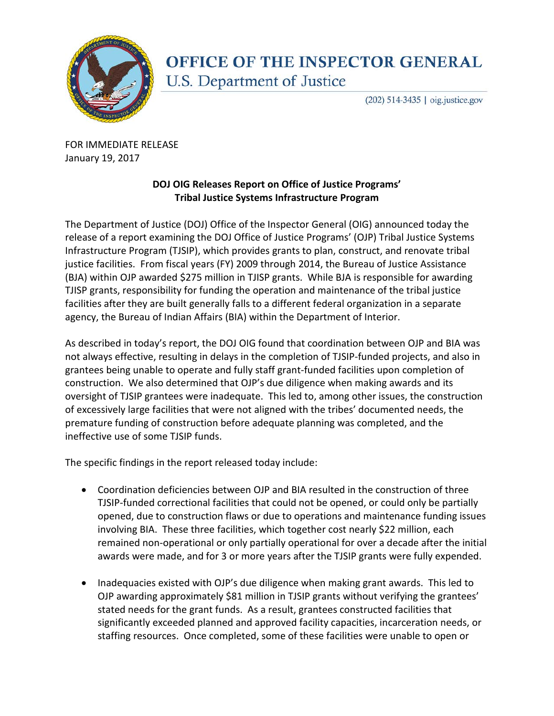

## **OFFICE OF THE INSPECTOR GENERAL** U.S. Department of Justice

(202) 514-3435 | oig.justice.gov

FOR IMMEDIATE RELEASE January 19, 2017

## **DOJ OIG Releases Report on Office of Justice Programs' Tribal Justice Systems Infrastructure Program**

The Department of Justice (DOJ) Office of the Inspector General (OIG) announced today the release of a report examining the DOJ Office of Justice Programs' (OJP) Tribal Justice Systems Infrastructure Program (TJSIP), which provides grants to plan, construct, and renovate tribal justice facilities. From fiscal years (FY) 2009 through 2014, the Bureau of Justice Assistance (BJA) within OJP awarded \$275 million in TJISP grants. While BJA is responsible for awarding TJISP grants, responsibility for funding the operation and maintenance of the tribal justice facilities after they are built generally falls to a different federal organization in a separate agency, the Bureau of Indian Affairs (BIA) within the Department of Interior.

As described in today's report, the DOJ OIG found that coordination between OJP and BIA was not always effective, resulting in delays in the completion of TJSIP-funded projects, and also in grantees being unable to operate and fully staff grant-funded facilities upon completion of construction. We also determined that OJP's due diligence when making awards and its oversight of TJSIP grantees were inadequate. This led to, among other issues, the construction of excessively large facilities that were not aligned with the tribes' documented needs, the premature funding of construction before adequate planning was completed, and the ineffective use of some TJSIP funds.

The specific findings in the report released today include:

- Coordination deficiencies between OJP and BIA resulted in the construction of three TJSIP-funded correctional facilities that could not be opened, or could only be partially opened, due to construction flaws or due to operations and maintenance funding issues involving BIA. These three facilities, which together cost nearly \$22 million, each remained non-operational or only partially operational for over a decade after the initial awards were made, and for 3 or more years after the TJSIP grants were fully expended.
- Inadequacies existed with OJP's due diligence when making grant awards. This led to OJP awarding approximately \$81 million in TJSIP grants without verifying the grantees' stated needs for the grant funds. As a result, grantees constructed facilities that significantly exceeded planned and approved facility capacities, incarceration needs, or staffing resources. Once completed, some of these facilities were unable to open or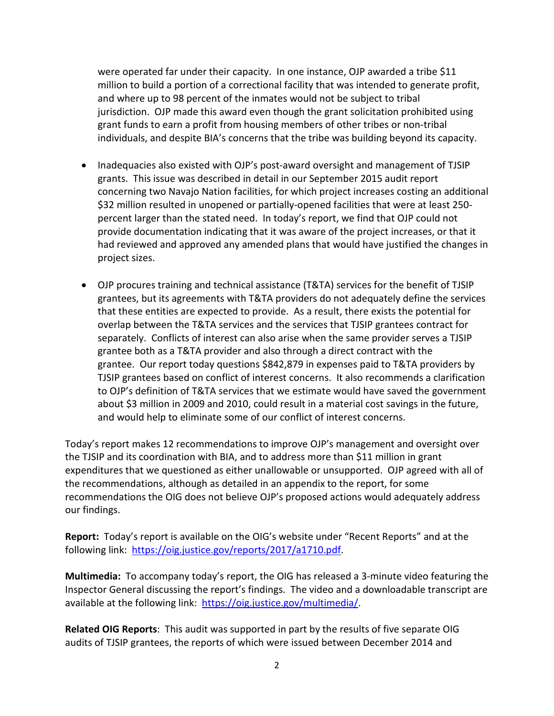were operated far under their capacity. In one instance, OJP awarded a tribe \$11 million to build a portion of a correctional facility that was intended to generate profit, and where up to 98 percent of the inmates would not be subject to tribal jurisdiction. OJP made this award even though the grant solicitation prohibited using grant funds to earn a profit from housing members of other tribes or non-tribal individuals, and despite BIA's concerns that the tribe was building beyond its capacity.

- Inadequacies also existed with OJP's post-award oversight and management of TJSIP grants. This issue was described in detail in our September 2015 audit report concerning two Navajo Nation facilities, for which project increases costing an additional \$32 million resulted in unopened or partially-opened facilities that were at least 250 percent larger than the stated need. In today's report, we find that OJP could not provide documentation indicating that it was aware of the project increases, or that it had reviewed and approved any amended plans that would have justified the changes in project sizes.
- OJP procures training and technical assistance (T&TA) services for the benefit of TJSIP grantees, but its agreements with T&TA providers do not adequately define the services that these entities are expected to provide. As a result, there exists the potential for overlap between the T&TA services and the services that TJSIP grantees contract for separately. Conflicts of interest can also arise when the same provider serves a TJSIP grantee both as a T&TA provider and also through a direct contract with the grantee. Our report today questions \$842,879 in expenses paid to T&TA providers by TJSIP grantees based on conflict of interest concerns. It also recommends a clarification to OJP's definition of T&TA services that we estimate would have saved the government about \$3 million in 2009 and 2010, could result in a material cost savings in the future, and would help to eliminate some of our conflict of interest concerns.

Today's report makes 12 recommendations to improve OJP's management and oversight over the TJSIP and its coordination with BIA, and to address more than \$11 million in grant expenditures that we questioned as either unallowable or unsupported. OJP agreed with all of the recommendations, although as detailed in an appendix to the report, for some recommendations the OIG does not believe OJP's proposed actions would adequately address our findings.

**Report:** Today's report is available on the OIG's website under "Recent Reports" and at the following link: [https://oig.justice.gov/reports/2017/a1710.pdf.](https://oig.justice.gov/reports/2017/a1710.pdf)

**Multimedia:** To accompany today's report, the OIG has released a 3-minute video featuring the Inspector General discussing the report's findings. The video and a downloadable transcript are available at the following link: [https://oig.justice.gov/multimedia/.](https://oig.justice.gov/multimedia/)

**Related OIG Reports**: This audit was supported in part by the results of five separate OIG audits of TJSIP grantees, the reports of which were issued between December 2014 and